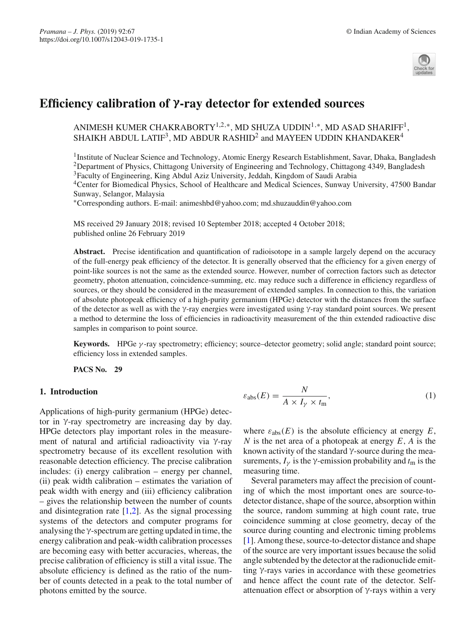

# **Efficiency calibration of γ-ray detector for extended sources**

# ANIMESH KUMER CHAKRABORTY<sup>1,2,∗</sup>, MD SHUZA UDDIN<sup>1,∗</sup>, MD ASAD SHARIFF<sup>1</sup>, SHAIKH ABDUL LATIF<sup>3</sup>, MD ABDUR RASHID<sup>2</sup> and MAYEEN UDDIN KHANDAKER<sup>4</sup>

<sup>1</sup>Institute of Nuclear Science and Technology, Atomic Energy Research Establishment, Savar, Dhaka, Bangladesh <sup>2</sup>Department of Physics, Chittagong University of Engineering and Technology, Chittagong 4349, Bangladesh

<sup>3</sup>Faculty of Engineering, King Abdul Aziz University, Jeddah, Kingdom of Saudi Arabia

<sup>4</sup>Center for Biomedical Physics, School of Healthcare and Medical Sciences, Sunway University, 47500 Bandar Sunway, Selangor, Malaysia

∗Corresponding authors. E-mail: animeshbd@yahoo.com; md.shuzauddin@yahoo.com

MS received 29 January 2018; revised 10 September 2018; accepted 4 October 2018; published online 26 February 2019

**Abstract.** Precise identification and quantification of radioisotope in a sample largely depend on the accuracy of the full-energy peak efficiency of the detector. It is generally observed that the efficiency for a given energy of point-like sources is not the same as the extended source. However, number of correction factors such as detector geometry, photon attenuation, coincidence-summing, etc. may reduce such a difference in efficiency regardless of sources, or they should be considered in the measurement of extended samples. In connection to this, the variation of absolute photopeak efficiency of a high-purity germanium (HPGe) detector with the distances from the surface of the detector as well as with the γ-ray energies were investigated using γ-ray standard point sources. We present a method to determine the loss of efficiencies in radioactivity measurement of the thin extended radioactive disc samples in comparison to point source.

**Keywords.** HPGe γ -ray spectrometry; efficiency; source–detector geometry; solid angle; standard point source; efficiency loss in extended samples.

**PACS No. 29**

### **1. Introduction**

Applications of high-purity germanium (HPGe) detector in γ-ray spectrometry are increasing day by day. HPGe detectors play important roles in the measurement of natural and artificial radioactivity via γ-ray spectrometry because of its excellent resolution with reasonable detection efficiency. The precise calibration includes: (i) energy calibration – energy per channel, (ii) peak width calibration – estimates the variation of peak width with energy and (iii) efficiency calibration – gives the relationship between the number of counts and disintegration rate  $[1,2]$  $[1,2]$  $[1,2]$ . As the signal processing systems of the detectors and computer programs for analysing the γ-spectrum are getting updated in time, the energy calibration and peak-width calibration processes are becoming easy with better accuracies, whereas, the precise calibration of efficiency is still a vital issue. The absolute efficiency is defined as the ratio of the number of counts detected in a peak to the total number of photons emitted by the source.

<span id="page-0-0"></span>
$$
\varepsilon_{\text{abs}}(E) = \frac{N}{A \times I_{\gamma} \times t_{\text{m}}},\tag{1}
$$

where  $\varepsilon_{\text{abs}}(E)$  is the absolute efficiency at energy  $E$ , *N* is the net area of a photopeak at energy *E*, *A* is the known activity of the standard  $\gamma$ -source during the measurements,  $I_{\gamma}$  is the  $\gamma$ -emission probability and  $t_{\rm m}$  is the measuring time.

Several parameters may affect the precision of counting of which the most important ones are source-todetector distance, shape of the source, absorption within the source, random summing at high count rate, true coincidence summing at close geometry, decay of the source during counting and electronic timing problems [\[1\]](#page-4-0). Among these, source-to-detector distance and shape of the source are very important issues because the solid angle subtended by the detector at the radionuclide emitting γ-rays varies in accordance with these geometries and hence affect the count rate of the detector. Selfattenuation effect or absorption of γ-rays within a very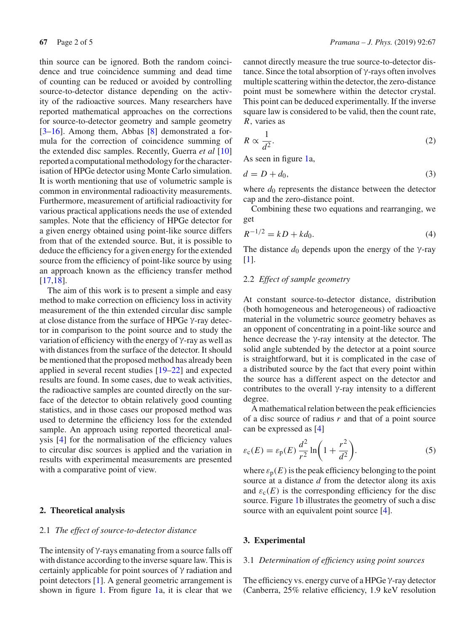thin source can be ignored. Both the random coincidence and true coincidence summing and dead time of counting can be reduced or avoided by controlling source-to-detector distance depending on the activity of the radioactive sources. Many researchers have reported mathematical approaches on the corrections for source-to-detector geometry and sample geometry [\[3](#page-4-2)[–16](#page-4-3)]. Among them, Abbas [\[8\]](#page-4-4) demonstrated a formula for the correction of coincidence summing of the extended disc samples. Recently, Guerra *et al* [\[10\]](#page-4-5) reported a computational methodology for the characterisation of HPGe detector using Monte Carlo simulation. It is worth mentioning that use of volumetric sample is common in environmental radioactivity measurements. Furthermore, measurement of artificial radioactivity for various practical applications needs the use of extended samples. Note that the efficiency of HPGe detector for a given energy obtained using point-like source differs from that of the extended source. But, it is possible to deduce the efficiency for a given energy for the extended source from the efficiency of point-like source by using an approach known as the efficiency transfer method [\[17](#page-4-6)[,18\]](#page-4-7).

The aim of this work is to present a simple and easy method to make correction on efficiency loss in activity measurement of the thin extended circular disc sample at close distance from the surface of HPGe γ-ray detector in comparison to the point source and to study the variation of efficiency with the energy of γ-ray as well as with distances from the surface of the detector. It should be mentioned that the proposed method has already been applied in several recent studies [\[19](#page-4-8)[–22\]](#page-4-9) and expected results are found. In some cases, due to weak activities, the radioactive samples are counted directly on the surface of the detector to obtain relatively good counting statistics, and in those cases our proposed method was used to determine the efficiency loss for the extended sample. An approach using reported theoretical analysis [\[4\]](#page-4-10) for the normalisation of the efficiency values to circular disc sources is applied and the variation in results with experimental measurements are presented with a comparative point of view.

#### **2. Theoretical analysis**

#### 2.1 *The effect of source-to-detector distance*

The intensity of  $\gamma$ -rays emanating from a source falls off with distance according to the inverse square law. This is certainly applicable for point sources of γ radiation and point detectors [\[1\]](#page-4-0). A general geometric arrangement is shown in figure [1.](#page-2-0) From figure [1a](#page-2-0), it is clear that we cannot directly measure the true source-to-detector distance. Since the total absorption of γ-rays often involves multiple scattering within the detector, the zero-distance point must be somewhere within the detector crystal. This point can be deduced experimentally. If the inverse square law is considered to be valid, then the count rate, *R*, varies as

$$
R \propto \frac{1}{d^2}.\tag{2}
$$

As seen in figure [1a](#page-2-0),

$$
d = D + d_0,\tag{3}
$$

where  $d_0$  represents the distance between the detector cap and the zero-distance point.

Combining these two equations and rearranging, we get

<span id="page-1-0"></span>
$$
R^{-1/2} = kD + kd_0.
$$
 (4)

The distance  $d_0$  depends upon the energy of the  $\gamma$ -ray [\[1\]](#page-4-0).

#### 2.2 *Effect of sample geometry*

At constant source-to-detector distance, distribution (both homogeneous and heterogeneous) of radioactive material in the volumetric source geometry behaves as an opponent of concentrating in a point-like source and hence decrease the γ-ray intensity at the detector. The solid angle subtended by the detector at a point source is straightforward, but it is complicated in the case of a distributed source by the fact that every point within the source has a different aspect on the detector and contributes to the overall γ-ray intensity to a different degree.

A mathematical relation between the peak efficiencies of a disc source of radius *r* and that of a point source can be expressed as [\[4](#page-4-10)]

<span id="page-1-1"></span>
$$
\varepsilon_{\rm c}(E) = \varepsilon_{\rm p}(E) \frac{d^2}{r^2} \ln\left(1 + \frac{r^2}{d^2}\right).
$$
 (5)

where  $\varepsilon_p(E)$  is the peak efficiency belonging to the point source at a distance *d* from the detector along its axis and  $\varepsilon_c(E)$  is the corresponding efficiency for the disc source. Figure [1b](#page-2-0) illustrates the geometry of such a disc source with an equivalent point source [\[4\]](#page-4-10).

#### **3. Experimental**

#### 3.1 *Determination of efficiency using point sources*

The efficiency vs. energy curve of a HPGe γ-ray detector (Canberra, 25% relative efficiency, 1.9 keV resolution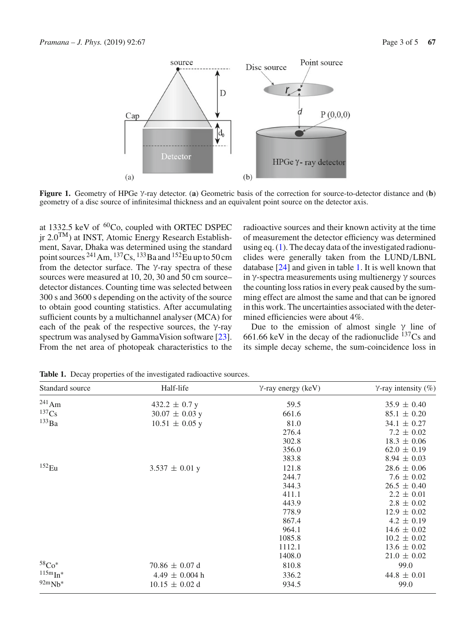

<span id="page-2-0"></span>**Figure 1.** Geometry of HPGe γ-ray detector. (**a**) Geometric basis of the correction for source-to-detector distance and (**b**) geometry of a disc source of infinitesimal thickness and an equivalent point source on the detector axis.

at 1332.5 keV of <sup>60</sup>Co, coupled with ORTEC DSPEC  $\mu$  2.0<sup>TM</sup>) at INST, Atomic Energy Research Establishment, Savar, Dhaka was determined using the standard point sources <sup>241</sup> Am, <sup>137</sup> Cs, <sup>133</sup> Ba and <sup>152</sup> Eu up to 50 cm from the detector surface. The γ-ray spectra of these sources were measured at 10, 20, 30 and 50 cm source– detector distances. Counting time was selected between 300 s and 3600 s depending on the activity of the source to obtain good counting statistics. After accumulating sufficient counts by a multichannel analyser (MCA) for each of the peak of the respective sources, the  $\gamma$ -ray spectrum was analysed by GammaVision software [\[23](#page-4-11)]. From the net area of photopeak characteristics to the

radioactive sources and their known activity at the time of measurement the detector efficiency was determined using eq. [\(1\)](#page-0-0). The decay data of the investigated radionuclides were generally taken from the LUND/LBNL database [\[24\]](#page-4-12) and given in table [1.](#page-2-1) It is well known that in γ-spectra measurements using multienergy γ sources the counting loss ratios in every peak caused by the summing effect are almost the same and that can be ignored in this work. The uncertainties associated with the determined efficiencies were about 4%.

Due to the emission of almost single  $\gamma$  line of 661.66 keV in the decay of the radionuclide  $137Cs$  and its simple decay scheme, the sum-coincidence loss in

<span id="page-2-1"></span>

| Standard source              | Half-life          | $\gamma$ -ray energy (keV) | $\gamma$ -ray intensity (%) |
|------------------------------|--------------------|----------------------------|-----------------------------|
| $^{241}$ Am                  | $432.2 \pm 0.7$ y  | 59.5                       | $35.9 \pm 0.40$             |
| 137Cs                        | $30.07 \pm 0.03$ y | 661.6                      | $85.1 \pm 0.20$             |
| $^{133}Ba$                   | $10.51 \pm 0.05$ y | 81.0                       | $34.1 \pm 0.27$             |
|                              |                    | 276.4                      | $7.2 \pm 0.02$              |
|                              |                    | 302.8                      | $18.3 \pm 0.06$             |
|                              |                    | 356.0                      | $62.0 \pm 0.19$             |
|                              |                    | 383.8                      | $8.94 \pm 0.03$             |
| $152$ Eu                     | $3.537 \pm 0.01$ y | 121.8                      | $28.6 \pm 0.06$             |
|                              |                    | 244.7                      | $7.6 \pm 0.02$              |
|                              |                    | 344.3                      | $26.5 \pm 0.40$             |
|                              |                    | 411.1                      | $2.2 \pm 0.01$              |
|                              |                    | 443.9                      | $2.8 \pm 0.02$              |
|                              |                    | 778.9                      | $12.9 \pm 0.02$             |
|                              |                    | 867.4                      | $4.2 \pm 0.19$              |
|                              |                    | 964.1                      | $14.6 \pm 0.02$             |
|                              |                    | 1085.8                     | $10.2 \pm 0.02$             |
|                              |                    | 1112.1                     | $13.6 \pm 0.02$             |
|                              |                    | 1408.0                     | $21.0 \pm 0.02$             |
| $58^{\circ}$ Co <sup>*</sup> | $70.86 \pm 0.07$ d | 810.8                      | 99.0                        |
| $115m$ $In*$                 | $4.49 \pm 0.004$ h | 336.2                      | $44.8 \pm 0.01$             |
| $92mNb*$                     | $10.15 \pm 0.02$ d | 934.5                      | 99.0                        |

**Table 1.** Decay properties of the investigated radioactive sources.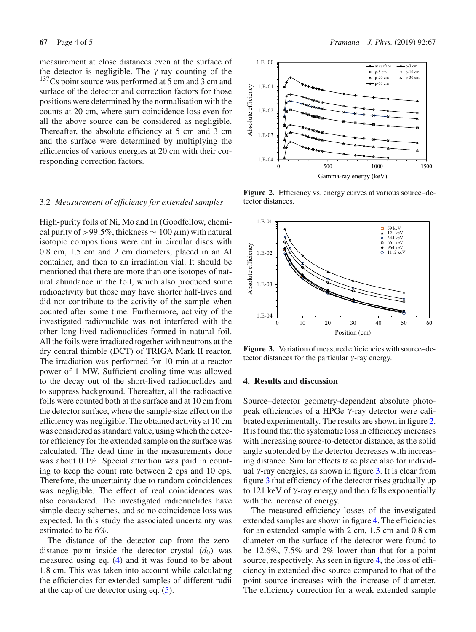measurement at close distances even at the surface of the detector is negligible. The  $\gamma$ -ray counting of the  $137Cs$  point source was performed at 5 cm and 3 cm and surface of the detector and correction factors for those positions were determined by the normalisation with the counts at 20 cm, where sum-coincidence loss even for all the above source can be considered as negligible. Thereafter, the absolute efficiency at 5 cm and 3 cm and the surface were determined by multiplying the efficiencies of various energies at 20 cm with their corresponding correction factors.

#### 3.2 *Measurement of efficiency for extended samples*

High-purity foils of Ni, Mo and In (Goodfellow, chemical purity of >99.5%, thickness  $\sim 100 \,\mu\text{m}$ ) with natural isotopic compositions were cut in circular discs with 0.8 cm, 1.5 cm and 2 cm diameters, placed in an Al container, and then to an irradiation vial. It should be mentioned that there are more than one isotopes of natural abundance in the foil, which also produced some radioactivity but those may have shorter half-lives and did not contribute to the activity of the sample when counted after some time. Furthermore, activity of the investigated radionuclide was not interfered with the other long-lived radionuclides formed in natural foil. All the foils were irradiated together with neutrons at the dry central thimble (DCT) of TRIGA Mark II reactor. The irradiation was performed for 10 min at a reactor power of 1 MW. Sufficient cooling time was allowed to the decay out of the short-lived radionuclides and to suppress background. Thereafter, all the radioactive foils were counted both at the surface and at 10 cm from the detector surface, where the sample-size effect on the efficiency was negligible. The obtained activity at 10 cm was considered as standard value, using which the detector efficiency for the extended sample on the surface was calculated. The dead time in the measurements done was about 0.1%. Special attention was paid in counting to keep the count rate between 2 cps and 10 cps. Therefore, the uncertainty due to random coincidences was negligible. The effect of real coincidences was also considered. The investigated radionuclides have simple decay schemes, and so no coincidence loss was expected. In this study the associated uncertainty was estimated to be 6%.

The distance of the detector cap from the zerodistance point inside the detector crystal  $(d_0)$  was measured using eq. [\(4\)](#page-1-0) and it was found to be about 1.8 cm. This was taken into account while calculating the efficiencies for extended samples of different radii at the cap of the detector using eq. [\(5\)](#page-1-1).



<span id="page-3-0"></span>Figure 2. Efficiency vs. energy curves at various source–detector distances.



<span id="page-3-1"></span>**Figure 3.** Variation of measured efficiencies with source–detector distances for the particular γ-ray energy.

#### **4. Results and discussion**

Source–detector geometry-dependent absolute photopeak efficiencies of a HPGe γ-ray detector were calibrated experimentally. The results are shown in figure [2.](#page-3-0) It is found that the systematic loss in efficiency increases with increasing source-to-detector distance, as the solid angle subtended by the detector decreases with increasing distance. Similar effects take place also for individual γ-ray energies, as shown in figure [3.](#page-3-1) It is clear from figure [3](#page-3-1) that efficiency of the detector rises gradually up to 121 keV of γ-ray energy and then falls exponentially with the increase of energy.

The measured efficiency losses of the investigated extended samples are shown in figure [4.](#page-4-13) The efficiencies for an extended sample with 2 cm, 1.5 cm and 0.8 cm diameter on the surface of the detector were found to be 12.6%, 7.5% and 2% lower than that for a point source, respectively. As seen in figure [4,](#page-4-13) the loss of efficiency in extended disc source compared to that of the point source increases with the increase of diameter. The efficiency correction for a weak extended sample